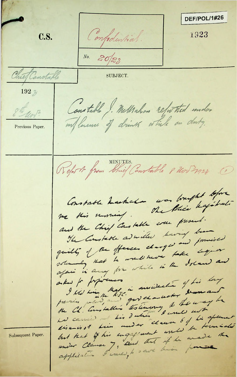DEF/POL/1#26 C.S. Confidential. 1923 No. 20/23 Chief Canstable SUBJECT. 192 Constable ). Melhahan refer thed under *6* Previous Paper. Refort from Chief Canatable 8 200 7928 0 Constable hashaba was brught before<br>we this nurring . The thier hapitrale and the Chief Constable were present. The Constable adviced having been  $H$ <sup>2</sup> *<sup>v</sup>* **- ^4-** *4*  $\mathcal{L}$ the Ch. Constables to timeny to the way be  $R$ .  $\bar{f}$ C . Subsequent Paper.  $\sqrt[3]{\sqrt[3]{x}}$  $\overline{z}$ */* **Clause** , and , because because 1 **XXX** *9*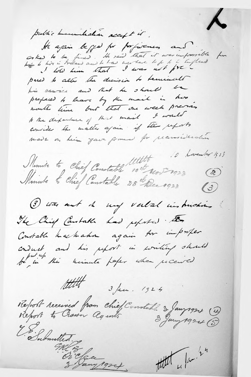$\lambda$ public humbralian accept it. He again before for profinemens and osked to be fined. He said that it was improvible for pared to alter the decision to tenurals his service and that he should be prepared to leave by the mail in how worth time but that one week previous to the departure of that mail I would convider the matter again if the reports made on him gave fromed for praniedentis 10 Lovember 1913 Momite to Chief Constable 10 titlette 10 h  $\circled{z}$  $(3)$ (3) was out the may verbal instructions The Chief Constable had reported. Der Constable has haben again for importer conduct and his report in writing stands titlet 3 face. 1924 Report received from chief Constable 3 Jany 1924 (4) Submitted of Cany 1924 titut 4 fax. 24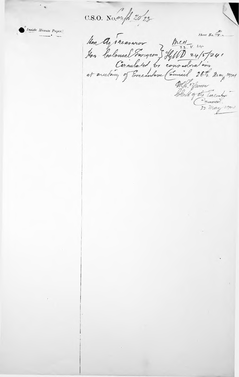C.S.O. No. onfl. 20/23

Inside Minute Paper.

Mon Agreearmor Mest-1.24 block of the Enector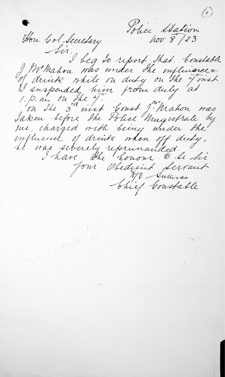Polici Station Hon Col Secretary Sir, beg to report that bondable We Mahou who under the influence. I drink while on duty on the J mich I suspended, him from duly at 1. p. nr ou the 4.<br>On the 3 inst Court J. Mahon was Laken before the Police Magistrate by me, charged with being under the influence of drink when off duty, il was silverely reprinanded. Jour Obedieint Serrant Chief Constable

 $\label{eq:2.1} \begin{array}{ccccc} \mathbb{C} & & \mathbb{C} & \mathbb{C} & \mathbb{C} \end{array}$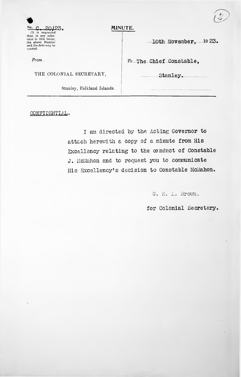## No. C. 20123. MINUTE. 20123.

(It is requested<br>that, in any refer-<br>ence to this letter, the above Number and the date may be quoted.

THE COLONIAL SECRETARY, Stanley.

Stanley, Falkland Islands.

....10th November, 1923.

*Prom To...The Chief Constable,* 

CONFIDENTIAL.

<sup>I</sup> am directed by the Acting Governor to attach herewith a copy of a minute from His Excellency relating to the conduct of Constable J. McMahon and to request you to communicate His Excellency's decision to constable McMahon.

G. R. L. Brown.

for colonial Secretary.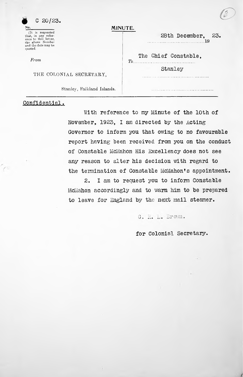|     | $C$ 20/23. |
|-----|------------|
| No. |            |

(It is requested that, in any refer-ence to this letter, the above Number and the date may be quoted.

*From*

THE COLONIAL SECRETARY,

Stanley, Falkland Islands.

**MINUTE.**

*To*

## Confidential.

 $\sqrt{2}$ 

With reference to my Minute of the 10th of November,  $1923$ , I am directed by the Acting Governor to inform you that owing to no favourable report having been received from you on the conduct of Constable McMahon His Excellency does not see any reason to alter his decision with regard to the termination of Constable McMahon's appointment.

2. I am to request you to inform Constable McMahon accordingly and to warn him to be prepared to leave for England by the next mail steamer.

G. R. L. Brown.

## for Colonial Secretary.

Stanley

The Chief Constable,

. . . . . . . . . . . .

28th December, **19** 23.

*f*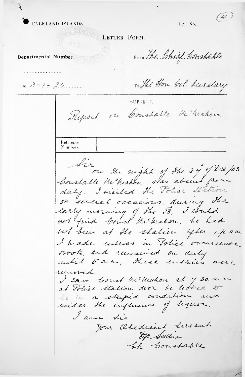FALKLAND ISLANDS.

 $(4)$ 

LETTER FORM.

Departmental Number.

From the Chief Constable

 $Date...2 - 1 - 24$ 

Reference

To the Hon Col. Surelary

SUBJECT.

Report on Constable Me Mahon

Numbers. Sir on the night of the 24 of Dee /23 Constable Me Makon was absent from duty. I visited the Police Station on several occasions, during the early morning of the 28, I could not been at the station after 1.10 am I heade entries in Police occurrence Book, and remained on duty<br>until 5 a.m., these entries were removed I sair boust he healon at 7.30. a. un at Police Station door he looked to le in a stupid condition and under the influence of liquor. I am sie Jon Obedient Lurant DM Sullivan the Constable